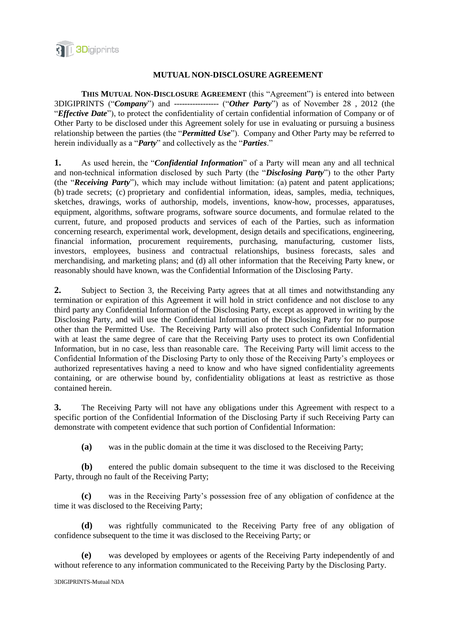

## **MUTUAL NON-DISCLOSURE AGREEMENT**

**THIS MUTUAL NON-DISCLOSURE AGREEMENT** (this "Agreement") is entered into between 3DIGIPRINTS ("*Company*") and ----------------- ("*Other Party*") as of November 28 , 2012 (the "*Effective Date*"), to protect the confidentiality of certain confidential information of Company or of Other Party to be disclosed under this Agreement solely for use in evaluating or pursuing a business relationship between the parties (the "*Permitted Use*"). Company and Other Party may be referred to herein individually as a "*Party*" and collectively as the "*Parties*."

**1.** As used herein, the "*Confidential Information*" of a Party will mean any and all technical and non-technical information disclosed by such Party (the "*Disclosing Party*") to the other Party (the "*Receiving Party*"), which may include without limitation: (a) patent and patent applications; (b) trade secrets; (c) proprietary and confidential information, ideas, samples, media, techniques, sketches, drawings, works of authorship, models, inventions, know-how, processes, apparatuses, equipment, algorithms, software programs, software source documents, and formulae related to the current, future, and proposed products and services of each of the Parties, such as information concerning research, experimental work, development, design details and specifications, engineering, financial information, procurement requirements, purchasing, manufacturing, customer lists, investors, employees, business and contractual relationships, business forecasts, sales and merchandising, and marketing plans; and (d) all other information that the Receiving Party knew, or reasonably should have known, was the Confidential Information of the Disclosing Party.

**2.** Subject to Section 3, the Receiving Party agrees that at all times and notwithstanding any termination or expiration of this Agreement it will hold in strict confidence and not disclose to any third party any Confidential Information of the Disclosing Party, except as approved in writing by the Disclosing Party, and will use the Confidential Information of the Disclosing Party for no purpose other than the Permitted Use. The Receiving Party will also protect such Confidential Information with at least the same degree of care that the Receiving Party uses to protect its own Confidential Information, but in no case, less than reasonable care. The Receiving Party will limit access to the Confidential Information of the Disclosing Party to only those of the Receiving Party's employees or authorized representatives having a need to know and who have signed confidentiality agreements containing, or are otherwise bound by, confidentiality obligations at least as restrictive as those contained herein.

**3.** The Receiving Party will not have any obligations under this Agreement with respect to a specific portion of the Confidential Information of the Disclosing Party if such Receiving Party can demonstrate with competent evidence that such portion of Confidential Information:

**(a)** was in the public domain at the time it was disclosed to the Receiving Party;

**(b)** entered the public domain subsequent to the time it was disclosed to the Receiving Party, through no fault of the Receiving Party;

**(c)** was in the Receiving Party's possession free of any obligation of confidence at the time it was disclosed to the Receiving Party;

**(d)** was rightfully communicated to the Receiving Party free of any obligation of confidence subsequent to the time it was disclosed to the Receiving Party; or

**(e)** was developed by employees or agents of the Receiving Party independently of and without reference to any information communicated to the Receiving Party by the Disclosing Party.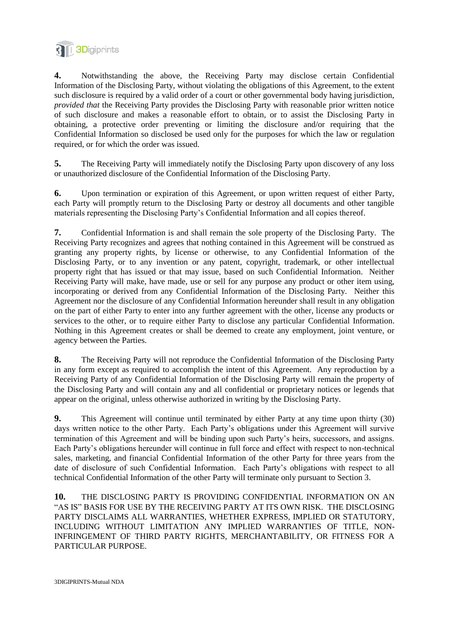

**4.** Notwithstanding the above, the Receiving Party may disclose certain Confidential Information of the Disclosing Party, without violating the obligations of this Agreement, to the extent such disclosure is required by a valid order of a court or other governmental body having jurisdiction, *provided that* the Receiving Party provides the Disclosing Party with reasonable prior written notice of such disclosure and makes a reasonable effort to obtain, or to assist the Disclosing Party in obtaining, a protective order preventing or limiting the disclosure and/or requiring that the Confidential Information so disclosed be used only for the purposes for which the law or regulation required, or for which the order was issued.

**5.** The Receiving Party will immediately notify the Disclosing Party upon discovery of any loss or unauthorized disclosure of the Confidential Information of the Disclosing Party.

**6.** Upon termination or expiration of this Agreement, or upon written request of either Party, each Party will promptly return to the Disclosing Party or destroy all documents and other tangible materials representing the Disclosing Party's Confidential Information and all copies thereof.

**7.** Confidential Information is and shall remain the sole property of the Disclosing Party. The Receiving Party recognizes and agrees that nothing contained in this Agreement will be construed as granting any property rights, by license or otherwise, to any Confidential Information of the Disclosing Party, or to any invention or any patent, copyright, trademark, or other intellectual property right that has issued or that may issue, based on such Confidential Information. Neither Receiving Party will make, have made, use or sell for any purpose any product or other item using, incorporating or derived from any Confidential Information of the Disclosing Party. Neither this Agreement nor the disclosure of any Confidential Information hereunder shall result in any obligation on the part of either Party to enter into any further agreement with the other, license any products or services to the other, or to require either Party to disclose any particular Confidential Information. Nothing in this Agreement creates or shall be deemed to create any employment, joint venture, or agency between the Parties.

**8.** The Receiving Party will not reproduce the Confidential Information of the Disclosing Party in any form except as required to accomplish the intent of this Agreement. Any reproduction by a Receiving Party of any Confidential Information of the Disclosing Party will remain the property of the Disclosing Party and will contain any and all confidential or proprietary notices or legends that appear on the original, unless otherwise authorized in writing by the Disclosing Party.

**9.** This Agreement will continue until terminated by either Party at any time upon thirty (30) days written notice to the other Party. Each Party's obligations under this Agreement will survive termination of this Agreement and will be binding upon such Party's heirs, successors, and assigns. Each Party's obligations hereunder will continue in full force and effect with respect to non-technical sales, marketing, and financial Confidential Information of the other Party for three years from the date of disclosure of such Confidential Information. Each Party's obligations with respect to all technical Confidential Information of the other Party will terminate only pursuant to Section 3.

**10.** THE DISCLOSING PARTY IS PROVIDING CONFIDENTIAL INFORMATION ON AN "AS IS" BASIS FOR USE BY THE RECEIVING PARTY AT ITS OWN RISK. THE DISCLOSING PARTY DISCLAIMS ALL WARRANTIES, WHETHER EXPRESS, IMPLIED OR STATUTORY, INCLUDING WITHOUT LIMITATION ANY IMPLIED WARRANTIES OF TITLE, NON-INFRINGEMENT OF THIRD PARTY RIGHTS, MERCHANTABILITY, OR FITNESS FOR A PARTICULAR PURPOSE.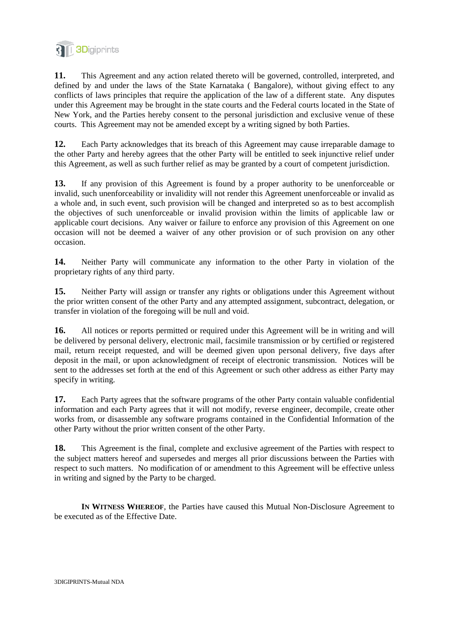

**11.** This Agreement and any action related thereto will be governed, controlled, interpreted, and defined by and under the laws of the State Karnataka ( Bangalore), without giving effect to any conflicts of laws principles that require the application of the law of a different state. Any disputes under this Agreement may be brought in the state courts and the Federal courts located in the State of New York, and the Parties hereby consent to the personal jurisdiction and exclusive venue of these courts. This Agreement may not be amended except by a writing signed by both Parties.

**12.** Each Party acknowledges that its breach of this Agreement may cause irreparable damage to the other Party and hereby agrees that the other Party will be entitled to seek injunctive relief under this Agreement, as well as such further relief as may be granted by a court of competent jurisdiction.

**13.** If any provision of this Agreement is found by a proper authority to be unenforceable or invalid, such unenforceability or invalidity will not render this Agreement unenforceable or invalid as a whole and, in such event, such provision will be changed and interpreted so as to best accomplish the objectives of such unenforceable or invalid provision within the limits of applicable law or applicable court decisions. Any waiver or failure to enforce any provision of this Agreement on one occasion will not be deemed a waiver of any other provision or of such provision on any other occasion.

**14.** Neither Party will communicate any information to the other Party in violation of the proprietary rights of any third party.

**15.** Neither Party will assign or transfer any rights or obligations under this Agreement without the prior written consent of the other Party and any attempted assignment, subcontract, delegation, or transfer in violation of the foregoing will be null and void.

16. All notices or reports permitted or required under this Agreement will be in writing and will be delivered by personal delivery, electronic mail, facsimile transmission or by certified or registered mail, return receipt requested, and will be deemed given upon personal delivery, five days after deposit in the mail, or upon acknowledgment of receipt of electronic transmission. Notices will be sent to the addresses set forth at the end of this Agreement or such other address as either Party may specify in writing.

**17.** Each Party agrees that the software programs of the other Party contain valuable confidential information and each Party agrees that it will not modify, reverse engineer, decompile, create other works from, or disassemble any software programs contained in the Confidential Information of the other Party without the prior written consent of the other Party.

**18.** This Agreement is the final, complete and exclusive agreement of the Parties with respect to the subject matters hereof and supersedes and merges all prior discussions between the Parties with respect to such matters. No modification of or amendment to this Agreement will be effective unless in writing and signed by the Party to be charged.

**IN WITNESS WHEREOF**, the Parties have caused this Mutual Non-Disclosure Agreement to be executed as of the Effective Date.